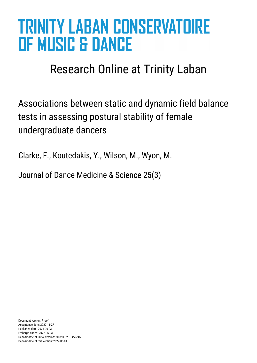# **TRINITY LABAN CONSERVATOIRE OF MUSIC & DANCE**

# Research Online at Trinity Laban

Associations between static and dynamic field balance tests in assessing postural stability of female undergraduate dancers

Clarke, F., Koutedakis, Y., Wilson, M., Wyon, M.

Journal of Dance Medicine & Science 25(3)

Document version: Proof Acceptance date: 2020-11-27 Published date: 2021-06-03 Embargo ended: 2022-06-03 Deposit date of initial version: 2022-01-28 14:26:45 Deposit date of this version: 2022-06-04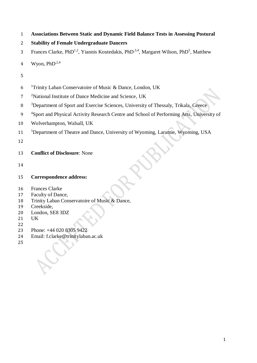|  | <b>Associations Between Static and Dynamic Field Balance Tests in Assessing Postural</b> |  |  |  |  |
|--|------------------------------------------------------------------------------------------|--|--|--|--|
|--|------------------------------------------------------------------------------------------|--|--|--|--|

```
2 Stability of Female Undergraduate Dancers
```
3 Frances Clarke, PhD<sup>1,2</sup>, Yiannis Koutedakis, PhD<sup>3,4</sup>, Margaret Wilson, PhD<sup>5</sup>, Matthew

4 Wyon,  $PhD^{2,4}$ 

- 
- 6 <sup>1</sup> Trinity Laban Conservatoire of Music & Dance, London, UK
- <sup>2</sup> National Institute of Dance Medicine and Science, UK
- <sup>3</sup> Department of Sport and Exercise Sciences, University of Thessaly, Trikala, Greece
- <sup>4</sup> Sport and Physical Activity Research Centre and School of Performing Arts, University of
- Wolverhampton, Walsall, UK
- <sup>5</sup> 11 <sup>5</sup> Department of Theatre and Dance, University of Wyoming, Laramie, Wyoming, USA
- 

# **Conflict of Disclosure**: None

## **Correspondence address:**

- Frances Clarke
- Faculty of Dance,
- Trinity Laban Conservatoire of Music & Dance,
- Creekside,
- London, SE8 3DZ
- UK
- 
- Phone: +44 020 8305 9422
- Email: f.clarke@trinitylaban.ac.uk
-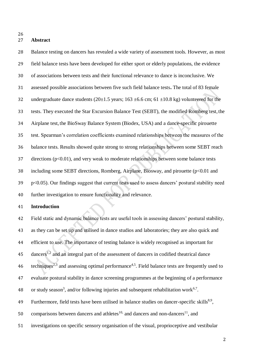#### **Abstract**

 Balance testing on dancers has revealed a wide variety of assessment tools. However, as most field balance tests have been developed for either sport or elderly populations, the evidence of associations between tests and their functional relevance to dance is inconclusive. We assessed possible associations between five such field balance tests**.** The total of 83 female 32 undergraduate dance students ( $20\pm1.5$  years; 163  $\pm6.6$  cm; 61  $\pm10.8$  kg) volunteered for the tests. They executed the Star Excursion Balance Test (SEBT), the modified Romberg test,the Airplane test, the BioSway Balance System (Biodex, USA) and a dance-specific pirouette test. Spearman's correlation coefficients examined relationships between the measures of the balance tests. Results showed quite strong to strong relationships between some SEBT reach directions ( $p<0.01$ ), and very weak to moderate relationships between some balance tests including some SEBT directions, Romberg, Airplane, Biosway, and pirouette (p<0.01 and p<0.05). Our findings suggest that current tests used to assess dancers' postural stability need further investigation to ensure functionality and relevance.

## **Introduction**

 Field static and dynamic balance tests are useful tools in assessing dancers' postural stability, as they can be set up and utilised in dance studios and laboratories; they are also quick and efficient to use. The importance of testing balance is widely recognised as important for 45 dancers<sup>1,2</sup> and an integral part of the assessment of dancers in codified theatrical dance 46 techniques<sup>2,3</sup> and assessing optimal performance<sup>4,5</sup>. Field balance tests are frequently used to evaluate postural stability in dance screening programmes at the beginning of a performance 48 or study season<sup>3</sup>, and/or following injuries and subsequent rehabilitation work<sup>6,7</sup>. 49 Furthermore, field tests have been utilised in balance studies on dancer-specific skills<sup>8,9</sup>, 50 comparisons between dancers and athletes<sup>10,</sup> and dancers and non-dancers<sup>11</sup>, and

investigations on specific sensory organisation of the visual, proprioceptive and vestibular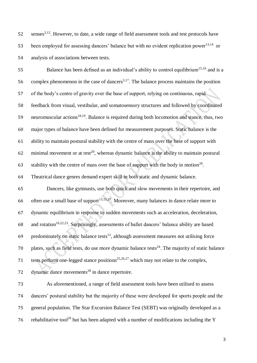$52$  senses<sup>3,12</sup>. However, to date, a wide range of field assessment tools and test protocols have 53 been employed for assessing dancers' balance but with no evident replication power<sup>13,14</sup> or 54 analysis of associations between tests.

55 Balance has been defined as an individual's ability to control equilibrium<sup>15,16</sup> and is a 56 complex phenomenon in the case of dancers<sup>3,17</sup>. The balance process maintains the position 57 of the body's centre of gravity over the base of support, relying on continuous, rapid 58 feedback from visual, vestibular, and somatosensory structures and followed by coordinated 59 neuromuscular actions<sup>18,19</sup>. Balance is required during both locomotion and stance, thus, two 60 major types of balance have been defined for measurement purposes. Static balance is the 61 ability to maintain postural stability with the centre of mass over the base of support with 62 minimal movement or at rest<sup>20</sup>, whereas dynamic balance is the ability to maintain postural 63 stability with the centre of mass over the base of support with the body in motion<sup>20</sup>. 64 Theatrical dance genres demand expert skill in both static and dynamic balance.

65 Dancers, like gymnasts, use both quick and slow movements in their repertoire, and 66 often use a small base of support<sup>13,15,21</sup>. Moreover, many balances in dance relate more to 67 dynamic equilibrium in response to sudden movements such as acceleration, deceleration, 68 and rotation<sup>16,22,23</sup>. Surprisingly, assessments of ballet dancers' balance ability are based  $69$  predominately on static balance tests<sup>13</sup>, although assessment measures not utilising force 70 plates, such as field tests, do use more dynamic balance tests<sup>24</sup>. The majority of static balance 71 tests perform one-legged stance positions<sup>25,26,27</sup> which may not relate to the complex,

72 dynamic dance movements<sup>28</sup> in dance repertoire.

 As aforementioned, a range of field assessment tools have been utilised to assess dancers' postural stability but the majority of these were developed for sports people and the general population. The Star Excursion Balance Test (SEBT) was originally developed as a 76 rehabilitative tool<sup>29</sup> but has been adapted with a number of modifications including the Y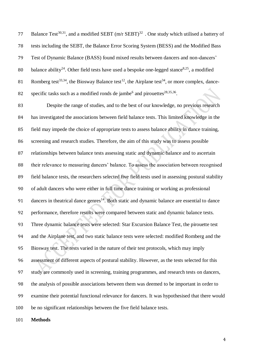77 Balance Test<sup>30,31</sup>, and a modified SEBT  $(m/r$  SEBT)<sup>32</sup>. One study which utilised a battery of tests including the SEBT, the Balance Error Scoring System (BESS) and the Modified Bass Test of Dynamic Balance (BASS) found mixed results between dancers and non-dancers' 80 balance ability<sup>24</sup>. Other field tests have used a bespoke one-legged stance<sup>8,25</sup>, a modified 81 Romberg test<sup>33,34</sup>, the Biosway Balance test<sup>12</sup>, the Airplane test<sup>34</sup>, or more complex, dance-82 specific tasks such as a modified ronds de jambe<sup>6</sup> and pirouettes<sup>28,35,36</sup>.

 Despite the range of studies, and to the best of our knowledge, no previous research has investigated the associations between field balance tests. This limited knowledge in the field may impede the choice of appropriate tests to assess balance ability in dance training, screening and research studies. Therefore, the aim of this study was to assess possible relationships between balance tests assessing static and dynamic balance and to ascertain their relevance to measuring dancers' balance. To assess the association between recognised field balance tests, the researchers selected five field tests used in assessing postural stability of adult dancers who were either in full time dance training or working as professional 91 – dancers in theatrical dance genres<sup>14</sup>. Both static and dynamic balance are essential to dance performance, therefore results were compared between static and dynamic balance tests. Three dynamic balance tests were selected: Star Excursion Balance Test, the pirouette test and the Airplane test, and two static balance tests were selected: modified Romberg and the Biosway test. The tests varied in the nature of their test protocols, which may imply assessment of different aspects of postural stability. However, as the tests selected for this study are commonly used in screening, training programmes, and research tests on dancers, the analysis of possible associations between them was deemed to be important in order to examine their potential functional relevance for dancers. It was hypothesised that there would be no significant relationships between the five field balance tests.

**Methods**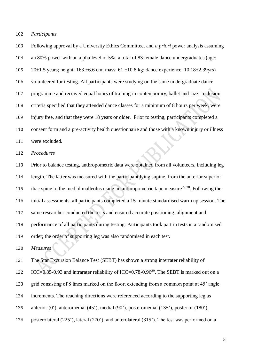*Participants* 

 Following approval by a University Ethics Committee, and *a priori* power analysis assuming an 80% power with an alpha level of 5%, a total of 83 female dance undergraduates (age: 105 20 $\pm$ 1.5 years; height: 163  $\pm$ 6.6 cm; mass: 61  $\pm$ 10.8 kg; dance experience: 10.18 $\pm$ 2.39yrs) volunteered for testing. All participants were studying on the same undergraduate dance programme and received equal hours of training in contemporary, ballet and jazz. Inclusion criteria specified that they attended dance classes for a minimum of 8 hours per week, were injury free, and that they were 18 years or older. Prior to testing, participants completed a consent form and a pre-activity health questionnaire and those with a known injury or illness were excluded.

*Procedures*

 Prior to balance testing, anthropometric data were obtained from all volunteers, including leg length. The latter was measured with the participant lying supine, from the anterior superior 115 iliac spine to the medial malleolus using an anthropometric tape measure<sup>29,38</sup>. Following the initial assessments, all participants completed a 15-minute standardised warm up session. The same researcher conducted the tests and ensured accurate positioning, alignment and performance of all participants during testing. Participants took part in tests in a randomised order; the order of supporting leg was also randomised in each test.

*Measures*

 The Star Excursion Balance Test (SEBT) has shown a strong interrater reliability of 122 ICC=0.35-0.93 and intrarater reliability of ICC=0.78-0.96<sup>39</sup>. The SEBT is marked out on a grid consisting of 8 lines marked on the floor, extending from a common point at 45˚ angle increments. The reaching directions were referenced according to the supporting leg as anterior (0˚), anteromedial (45˚), medial (90˚), posteromedial (135˚), posterior (180˚), posterolateral (225˚), lateral (270˚), and anterolateral (315˚). The test was performed on a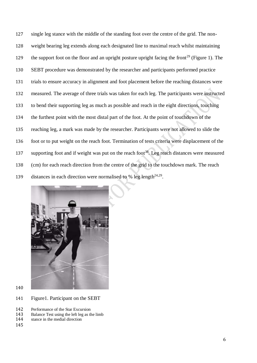single leg stance with the middle of the standing foot over the centre of the grid. The non- weight bearing leg extends along each designated line to maximal reach whilst maintaining the support foot on the floor and an upright posture upright facing the front<sup>29</sup> (Figure 1). The SEBT procedure was demonstrated by the researcher and participants performed practice trials to ensure accuracy in alignment and foot placement before the reaching distances were measured. The average of three trials was taken for each leg. The participants were instructed to bend their supporting leg as much as possible and reach in the eight directions, touching the furthest point with the most distal part of the foot. At the point of touchdown of the reaching leg, a mark was made by the researcher. Participants were not allowed to slide the foot or to put weight on the reach foot. Termination of tests criteria were displacement of the supporting foot and if weight was put on the reach foot<sup>38</sup>. Leg reach distances were measured (cm) for each reach direction from the centre of the grid to the touchdown mark. The reach 139 distances in each direction were normalised to % leg length<sup>24,29</sup>.



- 
- Figure1. Participant on the SEBT
- 142 Performance of the Star Excursion<br>143 Balance Test using the left leg as the
- Balance Test using the left leg as the limb
- stance in the medial direction
-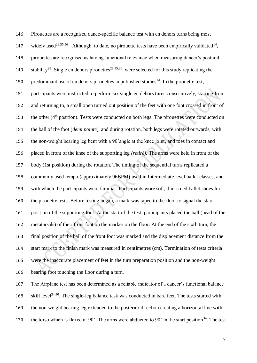Pirouettes are a recognised dance-specific balance test with en dehors turns being most 147 widely used<sup>28,35,56</sup>. Although, to date, no pirouette tests have been empirically validated<sup>14</sup>, pirouettes are recognised as having functional relevance when measuring dancer's postural 149 stability<sup>28</sup>. Single en dehors pirouettes<sup>28,35,36</sup> were selected for this study replicating the 150 predominant use of en dehors pirouettes in published studies<sup>14</sup>. In the pirouette test, participants were instructed to perform six single en dehors turns consecutively, starting from and returning to, a small open turned out position of the feet with one foot crossed in front of 153 the other  $(4<sup>th</sup>$  position). Tests were conducted on both legs. The pirouettes were conducted on the ball of the foot (*demi pointe*), and during rotation, both legs were rotated outwards, with the non-weight bearing leg bent with a 90˚angle at the knee joint*,* and toes in contact and placed in front of the knee of the supporting leg *(retiré).* The arms were held in front of the body (1st position) during the rotation. The timing of the sequential turns replicated a commonly used tempo (approximately 96BPM) used in Intermediate level ballet classes, and with which the participants were familiar. Participants wore soft, thin-soled ballet shoes for the pirouette tests. Before testing began, a mark was taped to the floor to signal the start position of the supporting foot. At the start of the test, participants placed the ball (head of the metatarsals) of their front foot on the marker on the floor. At the end of the sixth turn, the final position of the ball of the front foot was marked and the displacement distance from the start mark to the finish mark was measured in centimetres (cm). Termination of tests criteria were the inaccurate placement of feet in the turn preparation position and the non-weight bearing foot touching the floor during a turn.

 The Airplane test has been determined as a reliable indicator of a dancer's functional balance 168 skill level<sup>34,40</sup>. The single-leg balance task was conducted in bare feet. The tests started with the non-weight bearing leg extended to the posterior direction creating a horizontal line with 170 the torso which is flexed at  $90^\circ$ . The arms were abducted to  $90^\circ$  in the start position<sup>34</sup>. The test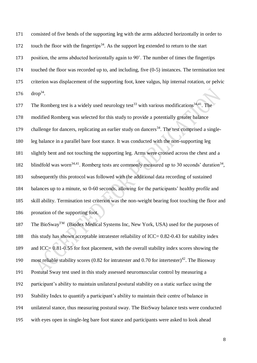consisted of five bends of the supporting leg with the arms adducted horizontally in order to 172 touch the floor with the fingertips<sup>34</sup>. As the support leg extended to return to the start 173 position, the arms abducted horizontally again to 90°. The number of times the fingertips touched the floor was recorded up to, and including, five (0-5) instances. The termination test criterion was displacement of the supporting foot, knee valgus, hip internal rotation, or pelvic  $drop^{34}$ .

177 The Romberg test is a widely used neurology test<sup>33</sup> with various modifications<sup>34,41</sup>. The modified Romberg was selected for this study to provide a potentially greater balance 179 challenge for dancers, replicating an earlier study on dancers<sup>34</sup>. The test comprised a single- leg balance in a parallel bare foot stance. It was conducted with the non-supporting leg slightly bent and not touching the supporting leg. Arms were crossed across the chest and a 182 blindfold was worn<sup>34,41</sup>. Romberg tests are commonly measured up to 30 seconds' duration<sup>34</sup>, subsequently this protocol was followed with the additional data recording of sustained balances up to a minute, so 0-60 seconds, allowing for the participants' healthy profile and skill ability. Termination test criterion was the non-weight bearing foot touching the floor and pronation of the supporting foot.

187 The BioSway<sup>TM</sup> (Biodex Medical Systems Inc, New York, USA) used for the purposes of 188 this study has shown acceptable intratester reliability of ICC= 0.82-0.43 for stability index 189 and ICC= 0.81-0.55 for foot placement, with the overall stability index scores showing the 190 most reliable stability scores (0.82 for intratester and 0.70 for intertester)<sup>42</sup>. The Biosway Postural Sway test used in this study assessed neuromuscular control by measuring a participant's ability to maintain unilateral postural stability on a static surface using the Stability Index to quantify a participant's ability to maintain their centre of balance in unilateral stance, thus measuring postural sway. The BioSway balance tests were conducted with eyes open in single-leg bare foot stance and participants were asked to look ahead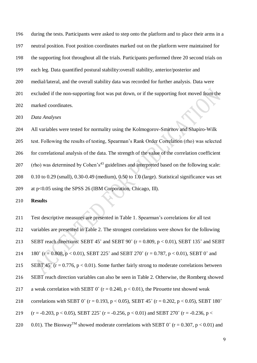during the tests. Participants were asked to step onto the platform and to place their arms in a neutral position. Foot position coordinates marked out on the platform were maintained for the supporting foot throughout all the trials. Participants performed three 20 second trials on each leg. Data quantified postural stability:overall stability, anterior/posterior and medial/lateral, and the overall stability data was recorded for further analysis. Data were excluded if the non-supporting foot was put down, or if the supporting foot moved from the marked coordinates.

*Data Analyses*

 All variables were tested for normality using the Kolmogorov-Smirnov and Shapiro-Wilk test. Following the results of testing, Spearman's Rank Order Correlation (rho) was selected for correlational analysis of the data. The strength of the value of the correlation coefficient 207 (rho) was determined by Cohen's<sup>43</sup> guidelines and interpreted based on the following scale: 0.10 to 0.29 (small), 0.30-0.49 (medium), 0.50 to 1.0 (large). Statistical significance was set at p<0.05 using the SPSS 26 (IBM Corporation, Chicago, Ill).

**Results**

 Test descriptive measures are presented in Table 1. Spearman's correlations for all test variables are presented in Table 2. The strongest correlations were shown for the following SEBT reach directions: SEBT 45˚ and SEBT 90˚ (r = 0.809, p < 0.01), SEBT 135˚ and SEBT 214 180° (r = 0.808, p < 0.01), SEBT 225° and SEBT 270° (r = 0.787, p < 0.01), SEBT 0° and 215 SEBT 45° ( $r = 0.776$ ,  $p < 0.01$ ). Some further fairly strong to moderate correlations between SEBT reach direction variables can also be seen in Table 2. Otherwise, the Romberg showed 217 a weak correlation with SEBT 0° ( $r = 0.240$ ,  $p < 0.01$ ), the Pirouette test showed weak 218 correlations with SEBT 0° (r = 0.193, p < 0.05), SEBT 45° (r = 0.202, p < 0.05), SEBT 180° 219  $(r = -0.203, p < 0.05)$ , SEBT 225°  $(r = -0.256, p < 0.01)$  and SEBT 270°  $(r = -0.236, p <$ 220 0.01). The Biosway<sup>TM</sup> showed moderate correlations with SEBT 0° (r = 0.307, p < 0.01) and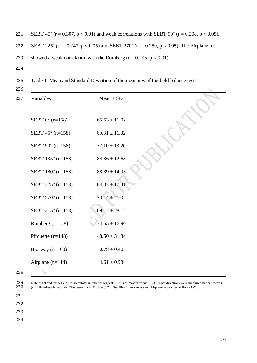221 SEBT 45° (r = 0.307, p < 0.01) and weak correlations with SEBT 90° (r = 0.208, p < 0.05), 222 SEBT 225° (r = -0.247, p < 0.05) and SEBT 270° (r = -0.250, p < 0.05). The Airplane test 223 showed a weak correlation with the Romberg  $(r = 0.295, p < 0.01)$ . 224

- 225 Table 1. Mean and Standard Deviation of the measures of the field balance tests
- 226

| 227 | <b>Variables</b>          | $Mean \pm SD$     |  |
|-----|---------------------------|-------------------|--|
|     |                           |                   |  |
|     | SEBT $0^{\circ}$ (n=158)  | $65.53 \pm 11.02$ |  |
|     | SEBT $45^{\circ}$ (n=158) | $69.31 \pm 11.32$ |  |
|     | SEBT $90^{\circ}$ (n=158) | $77.10 \pm 13.20$ |  |
|     | SEBT 135° (n=158)         | $84.86 \pm 12.68$ |  |
|     | SEBT 180° (n=158)         | $88.39 \pm 14.93$ |  |
|     | SEBT 225° (n=158)         | $84.07 \pm 17.41$ |  |
|     | SEBT 270° (n=158)         | $73.14 \pm 21.04$ |  |
|     | SEBT 315° (n=158)         | $69.12 \pm 28.12$ |  |
|     | Romberg $(n=158)$         | $34.55 \pm 16.90$ |  |
|     | Pirouette $(n=148)$       | $48.50 \pm 31.34$ |  |
|     | Biosway $(n=100)$         | $0.78 \pm 0.40$   |  |
|     | Airplane $(n=114)$        | $4.61 \pm 0.93$   |  |
| 228 |                           |                   |  |

228

229 Note: right and left legs tested so n=total number of leg tests. Units of measurement: SEBT reach directions were measured in centimetres  $230$  (cm), Romberg in seconds, Pirouettes in cm, Biosway<sup>TM</sup> in Stability Inde (cm), Romberg in seconds, Pirouettes in cm, Biosway<sup>TM</sup> in Stability Index (sway) and Airplane in touches to floor (1-5)

- 231
- 232

233

234

 $\mathcal{A}_{\mathbf{c}}$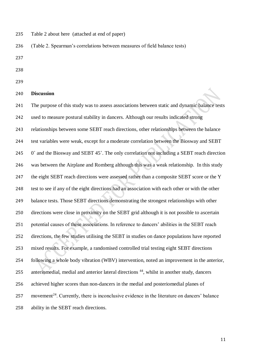Table 2 about here (attached at end of paper)

(Table 2. Spearman's correlations between measures of field balance tests)

- 
- 
- 

#### **Discussion**

 The purpose of this study was to assess associations between static and dynamic balance tests used to measure postural stability in dancers. Although our results indicated strong relationships between some SEBT reach directions, other relationships between the balance test variables were weak, except for a moderate correlation between the Biosway and SEBT 245 0° and the Biosway and SEBT 45°. The only correlation not including a SEBT reach direction was between the Airplane and Romberg although this was a weak relationship. In this study 247 the eight SEBT reach directions were assessed rather than a composite SEBT score or the Y test to see if any of the eight directions had an association with each other or with the other balance tests. Those SEBT directions demonstrating the strongest relationships with other directions were close in proximity on the SEBT grid although it is not possible to ascertain potential causes of these associations. In reference to dancers' abilities in the SEBT reach directions, the few studies utilising the SEBT in studies on dance populations have reported mixed results. For example, a randomised controlled trial testing eight SEBT directions following a whole body vibration (WBV) intervention, noted an improvement in the anterior, 255 anteriomedial, medial and anterior lateral directions , whilst in another study, dancers achieved higher scores than non-dancers in the medial and posteriomedial planes of 257 movement<sup>24</sup>. Currently, there is inconclusive evidence in the literature on dancers' balance ability in the SEBT reach directions.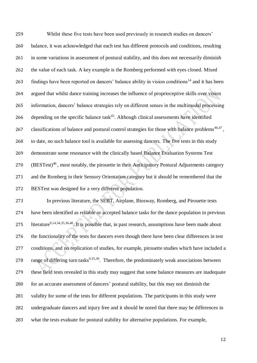Whilst these five tests have been used previously in research studies on dancers' balance, it was acknowledged that each test has different protocols and conditions, resulting in some variations in assessment of postural stability, and this does not necessarily diminish the value of each task. A key example is the Romberg performed with eyes closed. Mixed 263 findings have been reported on dancers' balance ability in vision conditions<sup>14</sup> and it has been argued that whilst dance training increases the influence of proprioceptive skills over vision information, dancers' balance strategies rely on different senses in the multimodal processing 266 depending on the specific balance task<sup>45</sup>. Although clinical assessments have identified 267 classifications of balance and postural control strategies for those with balance problems<sup>46,47</sup>, to date, no such balance tool is available for assessing dancers. The five tests in this study demonstrate some resonance with the clinically based Balance Evaluation Systems Test 270 (BESTest)<sup>46</sup>, most notably, the pirouette in their Anticipatory Postural Adjustments category and the Romberg in their Sensory Orientation category but it should be remembered that the BESTest was designed for a very different population.

 In previous literature, the SEBT, Airplane, Biosway, Romberg, and Pirouette tests have been identified as reliable or accepted balance tasks for the dance population in previous 275 literature<sup>9,14,34,35,36,40</sup>. It is possible that, in past research, assumptions have been made about the functionality of the tests for dancers even though there have been clear differences in test conditions, and no replication of studies, for example, pirouette studies which have included a 278 range of differing turn tasks<sup>9,35,36</sup>. Therefore, the predominately weak associations between these field tests revealed in this study may suggest that some balance measures are inadequate for an accurate assessment of dancers' postural stability, but this may not diminish the 281 validity for some of the tests for different populations. The participants in this study were undergraduate dancers and injury free and it should be noted that there may be differences in what the tests evaluate for postural stability for alternative populations. For example,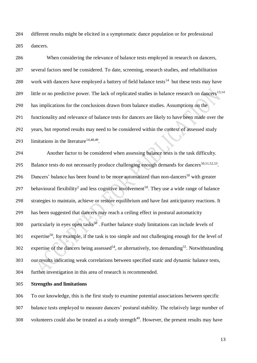different results might be elicited in a symptomatic dance population or for professional dancers.

 When considering the relevance of balance tests employed in research on dancers, several factors need be considered. To date, screening, research studies, and rehabilitation 288 work with dancers have employed a battery of field balance tests<sup>14</sup> but these tests may have 289 little or no predictive power. The lack of replicated studies in balance research on dancers<sup>13,14</sup> has implications for the conclusions drawn from balance studies. Assumptions on the functionality and relevance of balance tests for dancers are likely to have been made over the years, but reported results may need to be considered within the context of assessed study 293 limitations in the literature<sup>14,48,49</sup>.

 Another factor to be considered when assessing balance tests is the task difficulty. 295 Balance tests do not necessarily produce challenging enough demands for dancers<sup>50,51,52,53</sup>. 296 Dancers' balance has been found to be more automatized than non-dancers<sup>50</sup> with greater 297 behavioural flexibility<sup>2</sup> and less cognitive involvement<sup>50</sup>. They use a wide range of balance strategies to maintain, achieve or restore equilibrium and have fast anticipatory reactions. It has been suggested that dancers may reach a ceiling effect in postural automaticity 300 particularly in eyes open tasks<sup>50</sup>. Further balance study limitations can include levels of 301 expertise<sup>50</sup>, for example, if the task is too simple and not challenging enough for the level of 302 expertise of the dancers being assessed<sup>54</sup>, or alternatively, too demanding<sup>55</sup>. Notwithstanding our results indicating weak correlations between specified static and dynamic balance tests, further investigation in this area of research is recommended.

**Strengths and limitations**

 To our knowledge, this is the first study to examine potential associations between specific balance tests employed to measure dancers' postural stability. The relatively large number of 308 volunteers could also be treated as a study strength<sup>49</sup>. However, the present results may have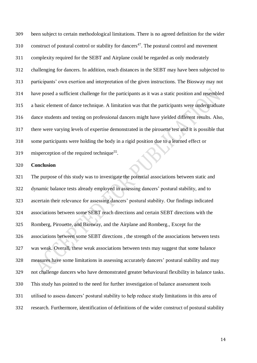been subject to certain methodological limitations. There is no agreed definition for the wider 310 . construct of postural control or stability for dancers<sup>47</sup>. The postural control and movement complexity required for the SEBT and Airplane could be regarded as only moderately challenging for dancers. In addition, reach distances in the SEBT may have been subjected to participants' own exertion and interpretation of the given instructions. The Biosway may not have posed a sufficient challenge for the participants as it was a static position and resembled a basic element of dance technique. A limitation was that the participants were undergraduate dance students and testing on professional dancers might have yielded different results. Also, there were varying levels of expertise demonstrated in the pirouette test and it is possible that some participants were holding the body in a rigid position due to a learned effect or 319 misperception of the required technique<sup>55</sup>.

#### **Conclusion**

 The purpose of this study was to investigate the potential associations between static and dynamic balance tests already employed in assessing dancers' postural stability, and to ascertain their relevance for assessing dancers' postural stability. Our findings indicated associations between some SEBT reach directions and certain SEBT directions with the Romberg, Pirouette, and Biosway, and the Airplane and Romberg., Except for the associations between some SEBT directions , the strength of the associations between tests was weak. Overall, these weak associations between tests may suggest that some balance measures have some limitations in assessing accurately dancers' postural stability and may not challenge dancers who have demonstrated greater behavioural flexibility in balance tasks. This study has pointed to the need for further investigation of balance assessment tools utilised to assess dancers' postural stability to help reduce study limitations in this area of research. Furthermore, identification of definitions of the wider construct of postural stability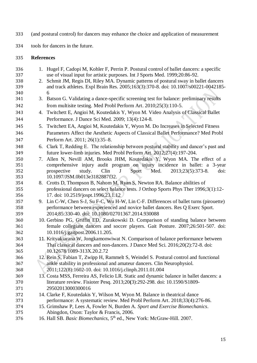- (and postural control) for dancers may enhance the choice and application of measurement
- tools for dancers in the future.

#### **References**

 1. Hugel F, Cadopi M, Kohler F, Perrin P. Postural control of ballet dancers: a specific use of visual input for artistic purposes. Int J Sports Med. 1999;20:86-92. 2. Schmit JM, Regis DI, Riley MA. Dynamic patterns of postural sway in ballet dancers and track athletes. Expl Brain Res. 2005;163(3):370-8. doi: 10.1007/s00221-0042185- 6 3. Batson G. Validating a dance-specific screening test for balance: preliminary results from multisite testing. Med Probl Perform Art. 2010;25(3):110-5. 4. Twitchett E, Angioi M, Koutedakis Y, Wyon M. Video Analysis of Classical Ballet Performance. J Dance Sci Med. 2009; 13(4):124-8. 5. Twitchett EA, Angioi M, Koutedakis Y, Wyon M. Do Increases in Selected Fitness Parameters Affect the Aesthetic Aspects of Classical Ballet Performance? Med Probl Perform Art. 2011; 26(1):35–8. 6. Clark T, Redding E. The relationship between postural stability and dancer's past and future lower-limb injuries. Med Probl Perform Art. 2012;27(4):197-204. 7. Allen N, Nevill AM, Brooks JHM, Koutedakis Y, Wyon MA. The effect of a comprehensive injury audit program on injury incidence in ballet: a 3-year prospective study. Clin J Sport Med. 2013;23(5):373-8*.* doi: 10.1097/JSM.0b013e3182887f32. 8. Crotts D, Thompson B, Nahom M, Ryan S, Newton RA. Balance abilities of professional dancers on select balance tests. J Orthop Sports Phys Ther 1996;3(1):12- 17. doi: 10.2519/jospt.1996.23.1.12 9. Lin C-W, Chen S-J, Su F-C, Wu H-W, Lin C-F. Differences of ballet turns (pirouette) performance between experienced and novice ballet dancers. Res Q Exerc Sport. 2014;85:330-40. doi: 10.1080/02701367.2014.930088 10. Gerbino PG, Griffin ED, Zurakowski D. Comparison of standing balance between female collegiate dancers and soccer players. Gait Posture. 2007;26:501-507. doi: 10.1016/j.gaitpost.2006.11.205. 11. Krityakiarana W, Jongkamonwiwat N. Comparison of balance performance between Thai classical dancers and non-dancers. J Dance Med Sci. 2016;20(2):72-8. doi: 10.12678/1089-313X.20.2.72 12. Rein S, Fabian T, Zwipp H, Rammelt S, Weindel S. Postural control and functional ankle stability in professional and amateur dancers. Clin Neurophysiol. 2011;122(8):1602-10. doi: 10.1016/j.clinph.2011.01.004 13. Costa MSS, Ferreira AS, Felicio LR. Static and dynamic balance in ballet dancers: a literature review. Fisioter Pesq. 2013;20**(**3):292-298. doi: 10.1590/S1809- 29502013000300016 14. Clarke F, Koutedakis Y, Wilson M, Wyon M. Balance in theatrical dance performance: A systematic review. Med Probl Perform Art. 2018;33(4):276-86. 15. Grimshaw P, Lees A, Fowler N, Burden A. *Sport and Exercise Biomechanics*. Abingdon, Oxon: Taylor & Francis, 2006. 16. Hall SB. *Basic Biomechanics*, 5th ed., New York: McGraw-Hill. 2007.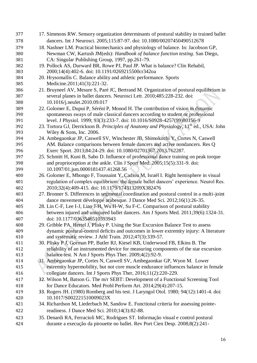| 377 | 17. Simmons RW. Sensory organization determinants of postural stability in trained ballet           |
|-----|-----------------------------------------------------------------------------------------------------|
| 378 | dancers. Int J Neurosci. 2005;115:87-97. doi: 10.1080/00207450490512678                             |
| 379 | 18. Nashner LM. Practical biomechanics and physiology of balance. In: Jacobson GP,                  |
| 380 | Newman CW, Kartush JM(eds): Handbook of balance function testing. San Diego,                        |
| 381 | CA: Singular Publishing Group, 1997, pp.261-79.                                                     |
| 382 | 19. Pollock AS, Durward BR, Rowe PJ, Paul JP. What is balance? Clin Rehabil,                        |
| 383 | 2000;14(4):402-6. doi: 10.1191/0269215500cr342oa                                                    |
| 384 | 20. Hrysomallis C. Balance ability and athletic performance. Sports                                 |
| 385 | Medicine.2011;41(3):221-32.                                                                         |
| 386 | 21. Bruyneel AV, Mesure S, Paré JC, Bertrand M. Organization of postural equilibrium in             |
| 387 | several planes in ballet dancers. Neurosci Lett. 2010;485:228-232. doi:                             |
| 388 | 10.1016/j.neulet.2010.09.017                                                                        |
| 389 | 22. Golomer E, Dupui P, Séréni P, Monod H. The contribution of vision in dynamic                    |
| 390 | spontaneous sways of male classical dancers according to student or professional                    |
| 391 | level. J Physiol. 1999; 93(3):233-7. doi: 10.1016/S0928-4257(99)80156-9                             |
| 392 | 23. Tortora GJ, Derrickson B. Principles of Anatomy and Physiology, 11 <sup>th</sup> ed., USA: John |
| 393 | Wiley & Sons, Inc. $2006$ .                                                                         |
| 394 | 24. Ambegaonkar JP, Caswell SV, Winchester JB, Shimokochi Y, Cortes N, Caswell                      |
| 395 | AM. Balance comparisons between female dancers and active nondancers. Res Q                         |
| 396 | Exerc Sport. 2013;84:24-29. doi: 10.1080/02701367.2013.762287.                                      |
| 397 | 25. Schmitt H, Kuni B, Sabo D. Influence of professional dance training on peak torque              |
| 398 | and proprioception at the ankle. Clin J Sport Med. 2005;15(5):331-9. doi:                           |
| 399 | 10.1097/01.jsm.0000181437.41268.56                                                                  |
| 400 | 26. Golomer E, Mbongo F, Toussaint Y, Cadiou M, Israël I. Right hemisphere in visual                |
| 401 | regulation of complex equilibrium: the female ballet dancers' experience. Neurol Res.               |
| 402 | 2010;32(4):409-415. doi: 10.1179/174313209X382476                                                   |
| 403 | 27. Bronner S. Differences in segmental coordination and postural control in a multi-joint          |
| 404 | dance movement développé arabesque. J Dance Med Sci. 2012;16(1):26-35.                              |
| 405 | 28. Lin C-F, Lee I-J, Liao J-H, Wu H-W, Su F-C. Comparison of postural stability                    |
| 406 | between injured and uninjured ballet dancers. Am J Sports Med. 2011;39(6):1324-31.                  |
| 407 | doi: 10.1177/0363546510393943                                                                       |
| 408 | 29. Gribble PA, Hertel J, Plisky P. Using the Star Excursion Balance Test to assess                 |
| 409 | dynamic postural-control deficits and outcomes in lower extremity injury: A literature              |
| 410 | and systematic review. J Athl Train. 2012;47(3):339-57.                                             |
| 411 | 30. Plisky P J, Gorman PP, Butler RJ, Kiesel KB, Underwood FB, Elkins B. The                        |
| 412 | reliability of an instrumented device for measuring components of the star excursion                |
| 413 | balance test. N Am J Sports Phys Ther. 2009;4(2):92-9.                                              |
| 414 | 31. Ambegaonkar JP, Cortes N, Caswell SV, Ambegaonkar GP, Wyon M. Lower                             |
| 415 | extremity hypermobility, but not core muscle endurance influences balance in female                 |
| 416 | collegiate dancers. Int J Sports Phys Ther, 2016;11(2):220-229.                                     |
| 417 | 32. Wilson M, Batson G. The m/r SEBT: Development of a Functional Screening Tool                    |
| 418 | for Dance Educators. Med Probl Perform Art. 2014;29(4):207-15.                                      |
| 419 | 33. Rogers JH. (1980) Romberg and his test. J Laryngol Otol. 1980; 94(12):1401-4. doi:              |
| 420 | 10.1017/S002221510009023X                                                                           |
| 421 | 34. Richardson M, Liederbach M, Sandow E. Functional criteria for assessing pointe-                 |
| 422 | readiness. J Dance Med Sci. 2010;14(3):82-88.                                                       |
| 423 | 35. Denardi RA, Ferracioli MC, Rodrigues ST. Informação visual e control postural                   |
| 424 | durante a execução da pirouette no ballet. Rev Port Cien Desp. 2008;8(2):241-                       |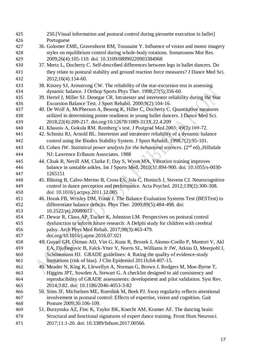| 425        | 250. [Visual information and postural control during pirouette execution in ballet]                                                                                     |
|------------|-------------------------------------------------------------------------------------------------------------------------------------------------------------------------|
| 426        | Portuguese                                                                                                                                                              |
| 427        | 36. Golomer EME, Gravenhorst RM, Toussaint Y. Influence of vision and motor imagery                                                                                     |
| 428        | styles on equilibrium control during whole-body rotations. Somatosens Mot Res.                                                                                          |
| 429        | 2009;26(4):105-110. doi: 10.3109/08990220903384968                                                                                                                      |
| 430        | 37. Mertz L, Docherty C. Self-described differences between legs in ballet dancers. Do                                                                                  |
| 431        | they relate to postural stability and ground reaction force measures? J Dance Med Sci.                                                                                  |
| 432        | 2012;16(4):154-60.                                                                                                                                                      |
| 433        | 38. Kinzey SJ, Armstrong CW. The reliability of the star-excursion test in assessing                                                                                    |
| 434        | dynamic balance. J Orthop Sports Phys Ther. 1998;27(5);356-60.                                                                                                          |
| 435        | 39. Hertel J, Miller SJ. Denegar CR. Intratester and intertester reliability during the Star                                                                            |
| 436        | Excursion Balance Test. J Sport Rehabil. 2000;9(2):104-16.                                                                                                              |
| 437<br>438 | 40. De Wolf A, McPherson A, Besong K, Hiller C, Docherty C. Quantitative measures<br>utilized in determining pointe readiness in young ballet dancers. J Dance Med Sci. |
| 439        | 2018;22(4):209-217. doi.org/10.12678/1089-313X.22.4.209                                                                                                                 |
| 440        | 41. Khasnis A, Gokula RM. Romberg's test. J Postgrad Med.2003; 49(2):169-72.                                                                                            |
| 441        | 42. Schmitz RJ, Arnold BL. Intertester and intratester reliability of a dynamic balance                                                                                 |
| 442        | control using the Biodex Stability System. J Sport Rehabil. 1998;7(2):95-101.                                                                                           |
| 443        | 43. Cohen JW. Statistical power analysis for the behavioral sciences. (2 <sup>nd</sup> ed)., Hillsdale                                                                  |
|            | NJ: Lawrence Erlbaum Associates. 1988                                                                                                                                   |
| 444        |                                                                                                                                                                         |
| 445        | 44. Cloak R, Nevill AM, Clarke F, Day S, Wyon MA. Vibration training improves                                                                                           |
| 446<br>447 | balance in unstable ankles. Int J Sports Med. 2010;31:894-900. doi: 10.1055/s-0030-<br>1265151                                                                          |
| 448        | 45. Bläsing B, Calvo-Merino B, Cross ES, Jola C, Honisch J, Stevens CJ. Neurocognitive                                                                                  |
| 449        | control in dance perception and performance. Acta Psychol. 2012;139(2):300-308.                                                                                         |
| 450        | doi: 10.1016/j.actpsy.2011.12.005                                                                                                                                       |
| 451        | 46. Horak FB, Wrisley DM, Frank J. The Balance Evaluation Systems Test (BESTest) to                                                                                     |
| 452        | differentiate balance deficits. Phys Ther. 2009;89(5):484-498. doi:                                                                                                     |
| 453        | 10.2522/ptj.20080071                                                                                                                                                    |
| 454        | 47. Dewar R, Claus AP, Tucker K, Johnston LM. Perspectives on postural control                                                                                          |
| 455        | dysfunction to inform future research: A Delphi study for children with cerebral                                                                                        |
| 456        | palsy. Arch Phys Med Rehab. 2017;98(3):463-479.                                                                                                                         |
| 457        | doi.org/10.1016/j.apmr.2016.07.021                                                                                                                                      |
| 458        | 48. Guyatt GH, Oxman AD, Vist G, Kunz R, Brozek J, Alonso-Coello P, Montori V, Akl                                                                                      |
| 459        | EA, Djulbegovic B, Falck-Ytter Y, Norris SL, Williams Jr JW, Atkins D, Meerpohl J,                                                                                      |
| 460        | Schünemann HJ. GRADE guidelines: 4. Rating the quality of evidence-study                                                                                                |
| 461        | limitations (risk of bias). J Clin Epidemiol 2011b;64:407-15.                                                                                                           |
| 462        | 49. Meader N, King K, Llewellyn A, Norman G, Brown J, Rodgers M, Moe-Byrne T,                                                                                           |
| 463        | Higgins JPT, Sowden A, Stewart G. A checklist designed to aid consistency and                                                                                           |
| 464        | reproducibility of GRADE assessments: development and pilot validation. Syst Rev.                                                                                       |
| 465        | 2014;3:82. doi: 10.1186/2046-4053-3-82                                                                                                                                  |
| 466        | 50. Stins JF, Michielsen ME, Roerdink M, Beek PJ. Sway regularity reflects attentional                                                                                  |
| 467        | involvement in postural control: Effects of expertise, vision and cognition. Gait                                                                                       |
| 468        | Posture 2009;30:106-109.                                                                                                                                                |
| 469        | 51. Burzynska AZ, Finc K, Taylor BK, Knecht AM, Kramer AF. The dancing brain:                                                                                           |
| 470        | Structural and functional signatures of expert dance training. Front Hum Neurosci.                                                                                      |
| 471        | 2017;11:1-20. doi: 10.3389/fnhum.2017.00566.                                                                                                                            |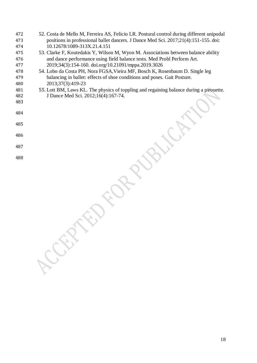- 52. Costa de Mello M, Ferreira AS, Felicio LR. Postural control during different unipodal positions in professional ballet dancers. J Dance Med Sci. 2017;21(4):151-155. doi: 10.12678/1089-313X.21.4.151
- 53. Clarke F, Koutedakis Y, Wilson M, Wyon M. Associations between balance ability and dance performance using field balance tests. Med Probl Perform Art. 2019;34(3):154-160. doi.org/10.21091/mppa.2019.3026
- 54. Lobo da Costa PH, Nora FGSA,Vieira MF, Bosch K, Rosenbaum D. Single leg balancing in ballet: effects of shoe conditions and poses. Gait Posture. 2013;37(3):419-23
- 55. Lott BM, Laws KL. The physics of toppling and regaining balance during a pirouette. J Dance Med Sci. 2012;16(4):167-74.
- 
- 
- 
- 
- 
- 
-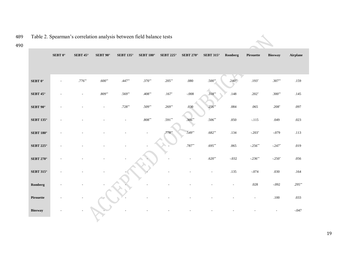| Table 2. Spearman's correlation analysis between field balance tests |                |                    |                 |                  |                     |                  |                  |                  |          |           |                |          |
|----------------------------------------------------------------------|----------------|--------------------|-----------------|------------------|---------------------|------------------|------------------|------------------|----------|-----------|----------------|----------|
|                                                                      | SEBT $0^\circ$ | SEBT 45 $^{\circ}$ | SEBT $90^\circ$ | <b>SEBT 135°</b> | SEBT 180 $^{\circ}$ | <b>SEBT 225°</b> | <b>SEBT 270°</b> | <b>SEBT 315°</b> | Romberg  | Pirouette | <b>Biosway</b> | Airplane |
|                                                                      |                |                    |                 |                  |                     |                  |                  |                  |          |           |                |          |
| SEBT $0^\circ$                                                       |                | $.776**$           | $.600**$        | $.447**$         | $.370**$            | $.205**$         | .080             | $.500**$         | $.240**$ | $.193*$   | $.307**$       | .159     |
| SEBT 45 $^{\circ}$                                                   |                |                    | $.809**$        | $.569**$         | $.408**$            | $.167^{\ast}$    | $-.008$          | $.318**$         | .148     | $.202*$   | $.300**$       | .145     |
| SEBT 90°                                                             |                |                    |                 | $.728**$         | $.509**$            | $.269**$         | .030             | $.256**$         | .084     | .065      | $.208*$        | .097     |
| <b>SEBT 135°</b>                                                     |                |                    |                 |                  | $.808^{\ast\ast}$   | $.591**$         | .366**           | $.506**$         | $.050\,$ | $-.115$   | .049           | .023     |
| <b>SEBT 180°</b>                                                     |                |                    |                 |                  |                     | .778             | $.549**$         | $.682**$         | .134     | $-.203*$  | $-.079$        | .113     |
| SEBT 225 $^{\circ}$                                                  |                |                    |                 |                  |                     |                  | $.787**$         | $.695**$         | $.065$   | $-.256**$ | $-.247*$       | .019     |
| SEBT 270 $^{\circ}$                                                  |                |                    |                 |                  |                     |                  |                  | $.620**$         | $-.032$  | $-.236**$ | $-.250*$       | $.056\,$ |
| <b>SEBT 315°</b>                                                     |                |                    |                 |                  |                     |                  |                  |                  | .135     | $-.074$   | $.030\,$       | $.164$   |
| Romberg                                                              |                |                    |                 |                  |                     |                  |                  |                  |          | $.028\,$  | $-.092$        | $.295**$ |
| Pirouette                                                            |                |                    |                 |                  |                     |                  |                  |                  |          |           | .100           | .033     |
| <b>Biosway</b>                                                       |                |                    |                 |                  |                     |                  |                  |                  |          |           |                | $-.047$  |

489 Table 2. Spearman's correlation analysis between field balance tests